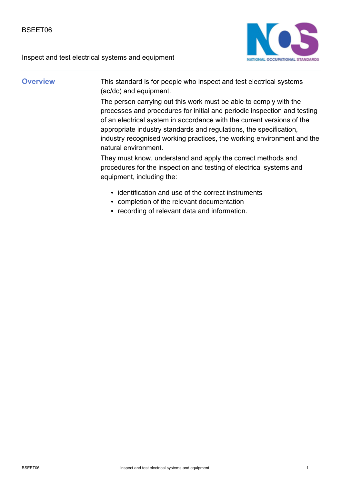

**Overview** This standard is for people who inspect and test electrical systems (ac/dc) and equipment.

> The person carrying out this work must be able to comply with the processes and procedures for initial and periodic inspection and testing of an electrical system in accordance with the current versions of the appropriate industry standards and regulations, the specification, industry recognised working practices, the working environment and the natural environment.

They must know, understand and apply the correct methods and procedures for the inspection and testing of electrical systems and equipment, including the:

- identification and use of the correct instruments
- completion of the relevant documentation
- recording of relevant data and information.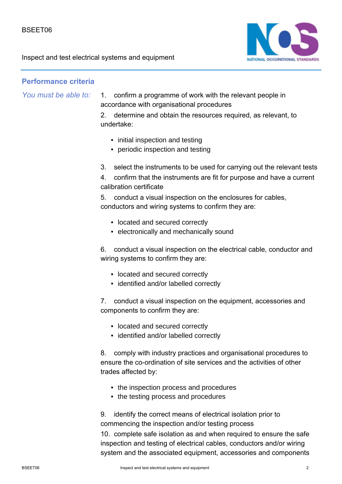

## **Performance criteria**

*You must be able to:*

- 1. confirm a programme of work with the relevant people in accordance with organisational procedures
- 2. determine and obtain the resources required, as relevant, to undertake:
	- initial inspection and testing
	- periodic inspection and testing
- 3. select the instruments to be used for carrying out the relevant tests
- 4. confirm that the instruments are fit for purpose and have a current calibration certificate

5. conduct a visual inspection on the enclosures for cables, conductors and wiring systems to confirm they are:

- located and secured correctly
- electronically and mechanically sound

6. conduct a visual inspection on the electrical cable, conductor and wiring systems to confirm they are:

- located and secured correctly
- identified and/or labelled correctly

7. conduct a visual inspection on the equipment, accessories and components to confirm they are:

- located and secured correctly
- identified and/or labelled correctly

8. comply with industry practices and organisational procedures to ensure the co-ordination of site services and the activities of other trades affected by:

- the inspection process and procedures
- the testing process and procedures

9. identify the correct means of electrical isolation prior to commencing the inspection and/or testing process

10. complete safe isolation as and when required to ensure the safe inspection and testing of electrical cables, conductors and/or wiring system and the associated equipment, accessories and components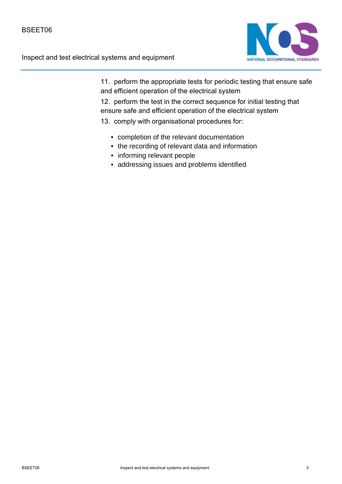

11. perform the appropriate tests for periodic testing that ensure safe and efficient operation of the electrical system

12. perform the test in the correct sequence for initial testing that ensure safe and efficient operation of the electrical system

13. comply with organisational procedures for:

- completion of the relevant documentation
- the recording of relevant data and information
- informing relevant people
- addressing issues and problems identified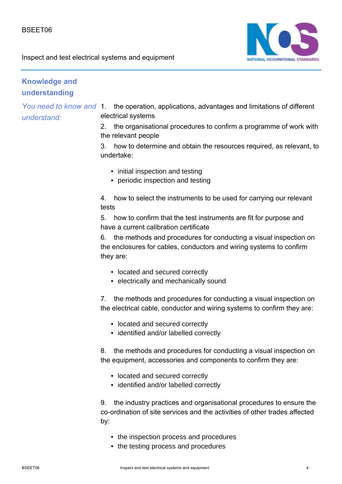

## **Knowledge and understanding**

*You need to know and understand:*

1. the operation, applications, advantages and limitations of different electrical systems

2. the organisational procedures to confirm a programme of work with the relevant people

3. how to determine and obtain the resources required, as relevant, to undertake:

- initial inspection and testing
- periodic inspection and testing

4. how to select the instruments to be used for carrying our relevant tests

5. how to confirm that the test instruments are fit for purpose and have a current calibration certificate

6. the methods and procedures for conducting a visual inspection on the enclosures for cables, conductors and wiring systems to confirm they are:

- located and secured correctly
- electrically and mechanically sound

7. the methods and procedures for conducting a visual inspection on the electrical cable, conductor and wiring systems to confirm they are:

- located and secured correctly
- identified and/or labelled correctly

8. the methods and procedures for conducting a visual inspection on the equipment, accessories and components to confirm they are:

- located and secured correctly
- identified and/or labelled correctly

9. the industry practices and organisational procedures to ensure the co-ordination of site services and the activities of other trades affected by:

- the inspection process and procedures
- the testing process and procedures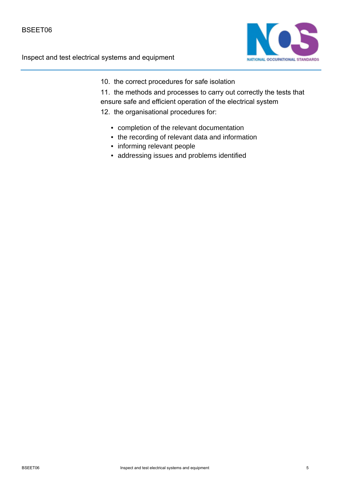

10. the correct procedures for safe isolation

11. the methods and processes to carry out correctly the tests that ensure safe and efficient operation of the electrical system

- 12. the organisational procedures for:
	- completion of the relevant documentation
	- the recording of relevant data and information
	- informing relevant people
	- addressing issues and problems identified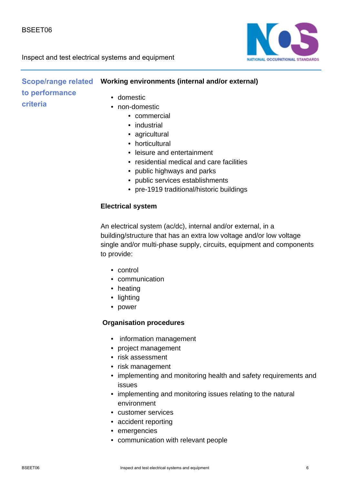

#### **Scope/range related Vorking environments (internal and/or external)** • domestic • non-domestic **to performance criteria**

- - commercial
	- industrial
	- agricultural
	- horticultural
	- leisure and entertainment
	- residential medical and care facilities
	- public highways and parks
	- public services establishments
	- pre-1919 traditional/historic buildings

#### **Electrical system**

An electrical system (ac/dc), internal and/or external, in a building/structure that has an extra low voltage and/or low voltage single and/or multi-phase supply, circuits, equipment and components to provide:

- control
- communication
- heating
- lighting
- power

#### **Organisation procedures**

- information management
- project management
- risk assessment
- risk management
- implementing and monitoring health and safety requirements and issues
- implementing and monitoring issues relating to the natural environment
- customer services
- accident reporting
- emergencies
- communication with relevant people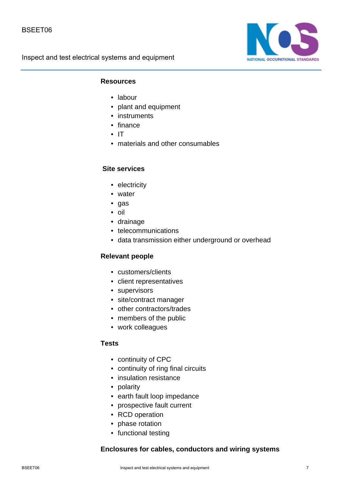

#### **Resources**

- labour
- plant and equipment
- instruments
- finance
- IT
- materials and other consumables

#### **Site services**

- electricity
- water
- gas
- oil
- drainage
- telecommunications
- data transmission either underground or overhead

### **Relevant people**

- customers/clients
- client representatives
- supervisors
- site/contract manager
- other contractors/trades
- members of the public
- work colleagues

#### **Tests**

- continuity of CPC
- continuity of ring final circuits
- insulation resistance
- polarity
- earth fault loop impedance
- prospective fault current
- RCD operation
- phase rotation
- functional testing

#### **Enclosures for cables, conductors and wiring systems**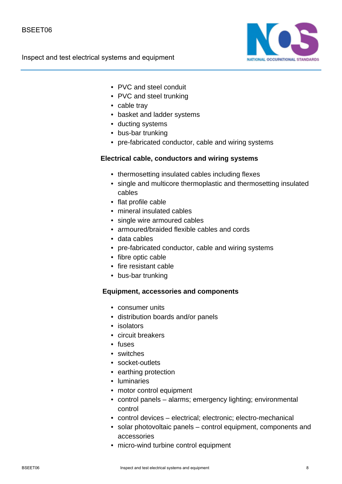

- PVC and steel conduit
- PVC and steel trunking
- cable tray
- basket and ladder systems
- ducting systems
- bus-bar trunking
- pre-fabricated conductor, cable and wiring systems

#### **Electrical cable, conductors and wiring systems**

- thermosetting insulated cables including flexes
- single and multicore thermoplastic and thermosetting insulated cables
- flat profile cable
- mineral insulated cables
- single wire armoured cables
- armoured/braided flexible cables and cords
- data cables
- pre-fabricated conductor, cable and wiring systems
- fibre optic cable
- fire resistant cable
- bus-bar trunking

#### **Equipment, accessories and components**

- consumer units
- distribution boards and/or panels
- isolators
- circuit breakers
- fuses
- switches
- socket-outlets
- earthing protection
- luminaries
- motor control equipment
- control panels alarms; emergency lighting; environmental control
- control devices electrical; electronic; electro-mechanical
- solar photovoltaic panels control equipment, components and accessories
- micro-wind turbine control equipment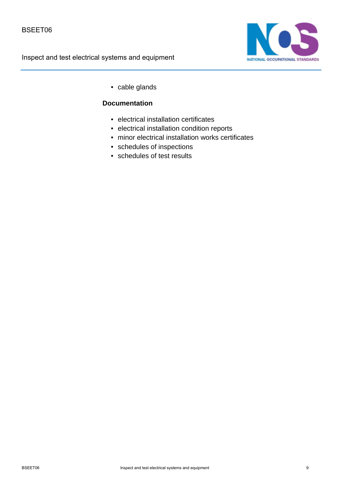

• cable glands

#### **Documentation**

- electrical installation certificates
- electrical installation condition reports
- minor electrical installation works certificates
- schedules of inspections
- schedules of test results